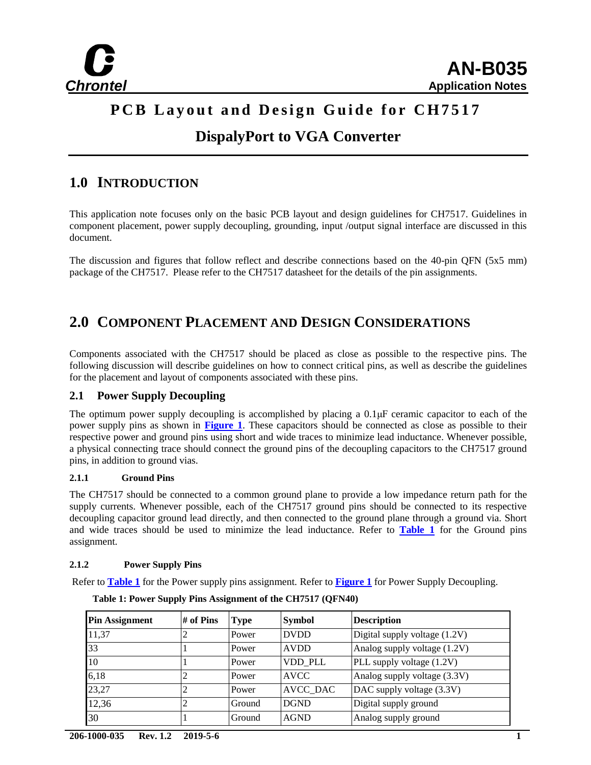

### **PCB Layout and Design Guide for CH7517**

### **DispalyPort to VGA Converter**

### **1.0 INTRODUCTION**

This application note focuses only on the basic PCB layout and design guidelines for CH7517. Guidelines in component placement, power supply decoupling, grounding, input /output signal interface are discussed in this document.

The discussion and figures that follow reflect and describe connections based on the 40-pin QFN (5x5 mm) package of the CH7517. Please refer to the CH7517 datasheet for the details of the pin assignments.

### **2.0 COMPONENT PLACEMENT AND DESIGN CONSIDERATIONS**

Components associated with the CH7517 should be placed as close as possible to the respective pins. The following discussion will describe guidelines on how to connect critical pins, as well as describe the guidelines for the placement and layout of components associated with these pins.

#### **2.1 Power Supply Decoupling**

The optimum power supply decoupling is accomplished by placing a 0.1μF ceramic capacitor to each of the power supply pins as shown in **[Figure](#page-1-0) 1**. These capacitors should be connected as close as possible to their respective power and ground pins using short and wide traces to minimize lead inductance. Whenever possible, a physical connecting trace should connect the ground pins of the decoupling capacitors to the CH7517 ground pins, in addition to ground vias.

#### **2.1.1 Ground Pins**

The CH7517 should be connected to a common ground plane to provide a low impedance return path for the supply currents. Whenever possible, each of the CH7517 ground pins should be connected to its respective decoupling capacitor ground lead directly, and then connected to the ground plane through a ground via. Short and wide traces should be used to minimize the lead inductance. Refer to **[Table 1](#page-0-0)** for the Ground pins assignment.

#### **2.1.2 Power Supply Pins**

<span id="page-0-0"></span>Refer to **[Table 1](#page-0-0)** for the Power supply pins assignment. Refer to **[Figure 1](#page-1-0)** for Power Supply Decoupling.

| <b>Pin Assignment</b> | # of Pins | <b>Type</b> | <b>Symbol</b>   | <b>Description</b>            |
|-----------------------|-----------|-------------|-----------------|-------------------------------|
| 11,37                 |           | Power       | <b>DVDD</b>     | Digital supply voltage (1.2V) |
| 33                    |           | Power       | <b>AVDD</b>     | Analog supply voltage (1.2V)  |
| 10                    |           | Power       | VDD PLL         | PLL supply voltage (1.2V)     |
| 6,18                  |           | Power       | <b>AVCC</b>     | Analog supply voltage (3.3V)  |
| 23,27                 |           | Power       | <b>AVCC DAC</b> | DAC supply voltage (3.3V)     |
| 12,36                 |           | Ground      | <b>DGND</b>     | Digital supply ground         |
| 30                    |           | Ground      | <b>AGND</b>     | Analog supply ground          |

**Table 1: Power Supply Pins Assignment of the CH7517 (QFN40)**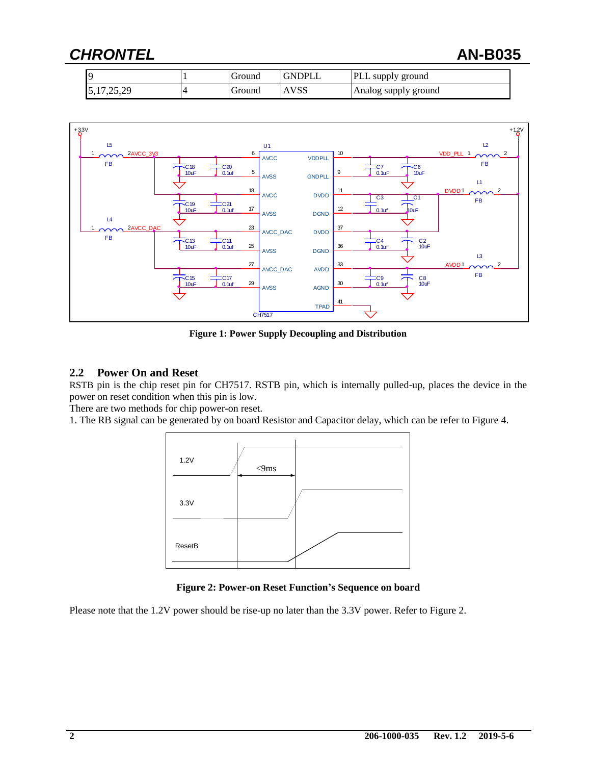### *CHRONTEL* **AN-B035**

| C                         | Ground | <b>GNDPLL</b> | <b>PLL</b> supply ground |
|---------------------------|--------|---------------|--------------------------|
| 17.25.29<br>رے دے ، ایل د | Ground | <b>AVSS</b>   | Analog supply ground     |



**Figure 1: Power Supply Decoupling and Distribution**

#### <span id="page-1-0"></span>**2.2 Power On and Reset**

RSTB pin is the chip reset pin for CH7517. RSTB pin, which is internally pulled-up, places the device in the power on reset condition when this pin is low.

There are two methods for chip power-on reset.

1. The RB signal can be generated by on board Resistor and Capacitor delay, which can be refer to Figure 4.



**Figure 2: Power-on Reset Function's Sequence on board**

Please note that the 1.2V power should be rise-up no later than the 3.3V power. Refer to Figure 2.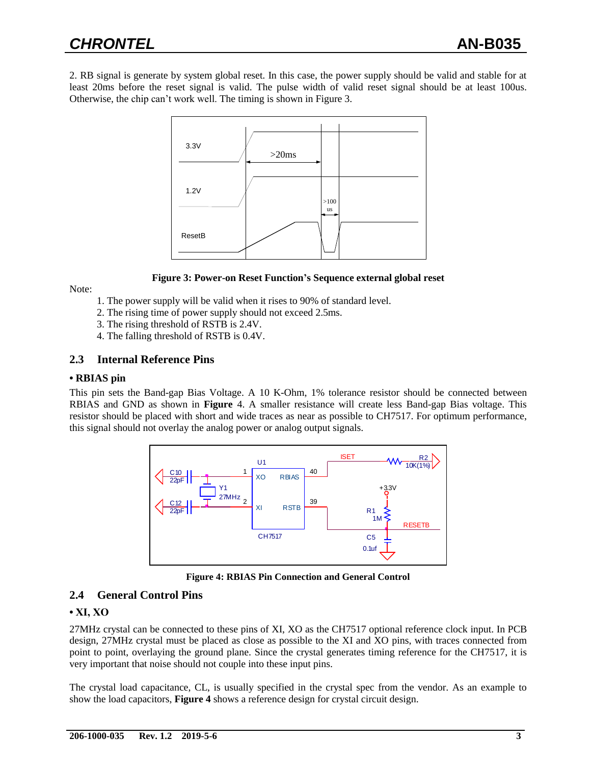2. RB signal is generate by system global reset. In this case, the power supply should be valid and stable for at least 20ms before the reset signal is valid. The pulse width of valid reset signal should be at least 100us. Otherwise, the chip can't work well. The timing is shown in Figure 3.



#### **Figure 3: Power-on Reset Function's Sequence external global reset**

Note:

- 1. The power supply will be valid when it rises to 90% of standard level.
- 2. The rising time of power supply should not exceed 2.5ms.
- 3. The rising threshold of RSTB is 2.4V.
- 4. The falling threshold of RSTB is 0.4V.

#### **2.3 Internal Reference Pins**

#### **• RBIAS pin**

This pin sets the Band-gap Bias Voltage. A 10 K-Ohm, 1% tolerance resistor should be connected between RBIAS and GND as shown in **Figure** 4. A smaller resistance will create less Band-gap Bias voltage. This resistor should be placed with short and wide traces as near as possible to CH7517. For optimum performance, this signal should not overlay the analog power or analog output signals.



**Figure 4: RBIAS Pin Connection and General Control**

#### **2.4 General Control Pins**

#### **• XI, XO**

27MHz crystal can be connected to these pins of XI, XO as the CH7517 optional reference clock input. In PCB design, 27MHz crystal must be placed as close as possible to the XI and XO pins, with traces connected from point to point, overlaying the ground plane. Since the crystal generates timing reference for the CH7517, it is very important that noise should not couple into these input pins.

The crystal load capacitance, CL, is usually specified in the crystal spec from the vendor. As an example to show the load capacitors, **Figure 4** shows a reference design for crystal circuit design.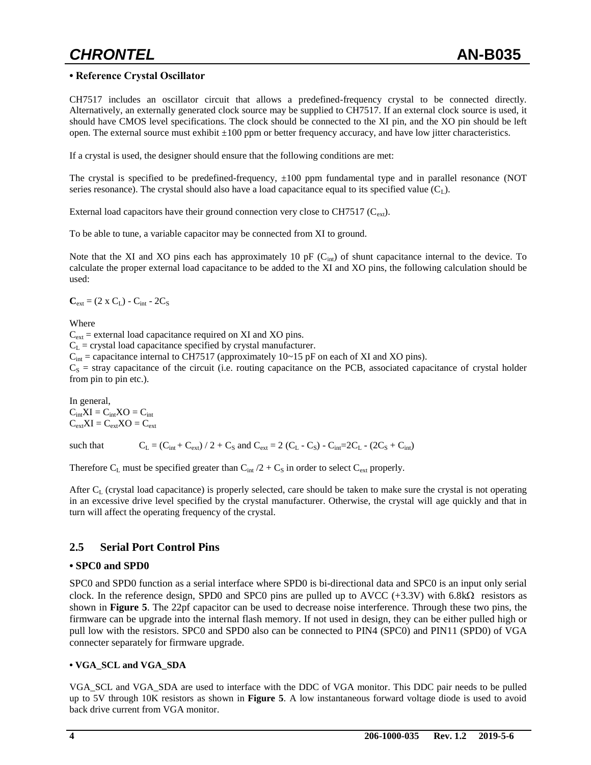#### **• Reference Crystal Oscillator**

CH7517 includes an oscillator circuit that allows a predefined-frequency crystal to be connected directly. Alternatively, an externally generated clock source may be supplied to CH7517. If an external clock source is used, it should have CMOS level specifications. The clock should be connected to the XI pin, and the XO pin should be left open. The external source must exhibit  $\pm 100$  ppm or better frequency accuracy, and have low jitter characteristics.

If a crystal is used, the designer should ensure that the following conditions are met:

The crystal is specified to be predefined-frequency, ±100 ppm fundamental type and in parallel resonance (NOT series resonance). The crystal should also have a load capacitance equal to its specified value  $(C<sub>L</sub>)$ .

External load capacitors have their ground connection very close to CH7517 ( $C_{ext}$ ).

To be able to tune, a variable capacitor may be connected from XI to ground.

Note that the XI and XO pins each has approximately 10 pF  $(C_{int})$  of shunt capacitance internal to the device. To calculate the proper external load capacitance to be added to the XI and XO pins, the following calculation should be used:

 $C_{ext} = (2 \times C_L) - C_{int} - 2C_S$ 

Where

 $C_{ext}$  = external load capacitance required on XI and XO pins.

 $C_L$  = crystal load capacitance specified by crystal manufacturer.

 $C_{\text{int}}$  = capacitance internal to CH7517 (approximately 10~15 pF on each of XI and XO pins).

 $C<sub>S</sub>$  = stray capacitance of the circuit (i.e. routing capacitance on the PCB, associated capacitance of crystal holder from pin to pin etc.).

In general,  $C_{int}XI = C_{int}XO = C_{int}$  $C_{ext}XI = C_{ext}XO = C_{ext}$ 

such that  $C_{L} = (C_{int} + C_{ext}) / 2 + C_{S}$  and  $C_{ext} = 2 (C_{L} - C_{S}) - C_{int} = 2C_{L} - (2C_{S} + C_{int})$ 

Therefore  $C_L$  must be specified greater than  $C_{int}/2 + C_S$  in order to select  $C_{ext}$  properly.

After  $C_L$  (crystal load capacitance) is properly selected, care should be taken to make sure the crystal is not operating in an excessive drive level specified by the crystal manufacturer. Otherwise, the crystal will age quickly and that in turn will affect the operating frequency of the crystal.

#### **2.5 Serial Port Control Pins**

#### **• SPC0 and SPD0**

SPC0 and SPD0 function as a serial interface where SPD0 is bi-directional data and SPC0 is an input only serial clock. In the reference design, SPD0 and SPC0 pins are pulled up to AVCC  $(+3.3V)$  with 6.8k $\Omega$  resistors as shown in **Figure 5**. The 22pf capacitor can be used to decrease noise interference. Through these two pins, the firmware can be upgrade into the internal flash memory. If not used in design, they can be either pulled high or pull low with the resistors. SPC0 and SPD0 also can be connected to PIN4 (SPC0) and PIN11 (SPD0) of VGA connecter separately for firmware upgrade.

#### **• VGA\_SCL and VGA\_SDA**

VGA\_SCL and VGA\_SDA are used to interface with the DDC of VGA monitor. This DDC pair needs to be pulled up to 5V through 10K resistors as shown in **Figure 5**. A low instantaneous forward voltage diode is used to avoid back drive current from VGA monitor.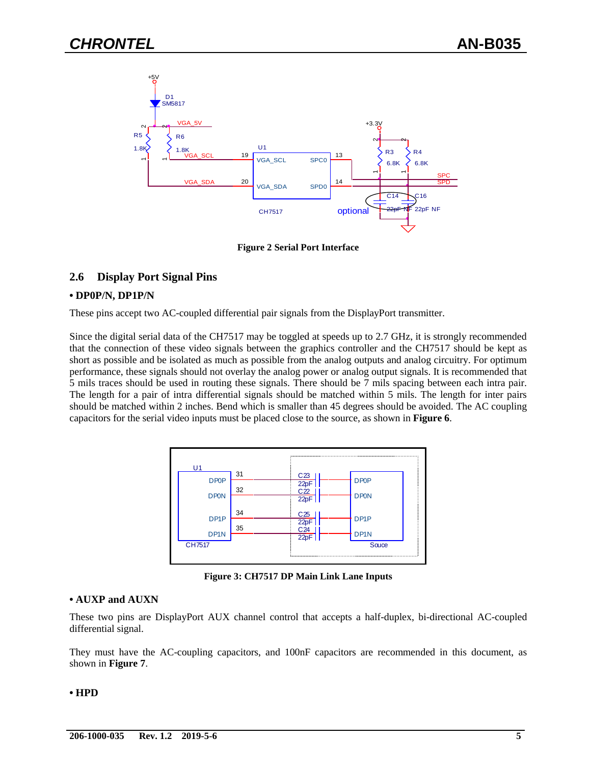

**Figure 2 Serial Port Interface**

#### **2.6 Display Port Signal Pins**

#### **• DP0P/N, DP1P/N**

These pins accept two AC-coupled differential pair signals from the DisplayPort transmitter.

Since the digital serial data of the CH7517 may be toggled at speeds up to 2.7 GHz, it is strongly recommended that the connection of these video signals between the graphics controller and the CH7517 should be kept as short as possible and be isolated as much as possible from the analog outputs and analog circuitry. For optimum performance, these signals should not overlay the analog power or analog output signals. It is recommended that 5 mils traces should be used in routing these signals. There should be 7 mils spacing between each intra pair. The length for a pair of intra differential signals should be matched within 5 mils. The length for inter pairs should be matched within 2 inches. Bend which is smaller than 45 degrees should be avoided. The AC coupling capacitors for the serial video inputs must be placed close to the source, as shown in **Figure 6**.



**Figure 3: CH7517 DP Main Link Lane Inputs** 

#### **• AUXP and AUXN**

These two pins are DisplayPort AUX channel control that accepts a half-duplex, bi-directional AC-coupled differential signal.

They must have the AC-coupling capacitors, and 100nF capacitors are recommended in this document, as shown in **Figure 7**.

#### **• HPD**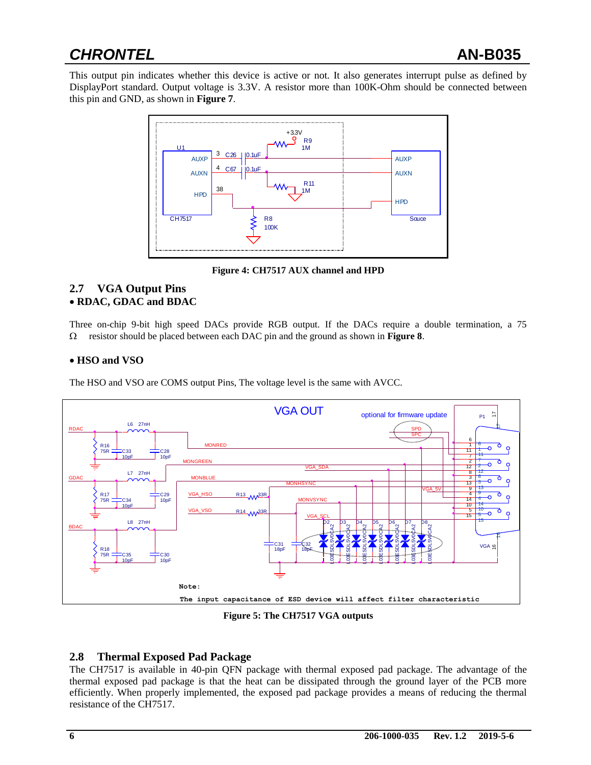## *CHRONTEL* **AN-B035**

This output pin indicates whether this device is active or not. It also generates interrupt pulse as defined by DisplayPort standard. Output voltage is 3.3V. A resistor more than 100K-Ohm should be connected between this pin and GND, as shown in **Figure 7**.



**Figure 4: CH7517 AUX channel and HPD** 

### **2.7 VGA Output Pins**

#### **RDAC, GDAC and BDAC**

Three on-chip 9-bit high speed DACs provide RGB output. If the DACs require a double termination, a 75 resistor should be placed between each DAC pin and the ground as shown in **Figure 8**.

#### **HSO and VSO**

The HSO and VSO are COMS output Pins, The voltage level is the same with AVCC.



**Figure 5: The CH7517 VGA outputs**

#### **2.8 Thermal Exposed Pad Package**

The CH7517 is available in 40-pin QFN package with thermal exposed pad package. The advantage of the thermal exposed pad package is that the heat can be dissipated through the ground layer of the PCB more efficiently. When properly implemented, the exposed pad package provides a means of reducing the thermal resistance of the CH7517.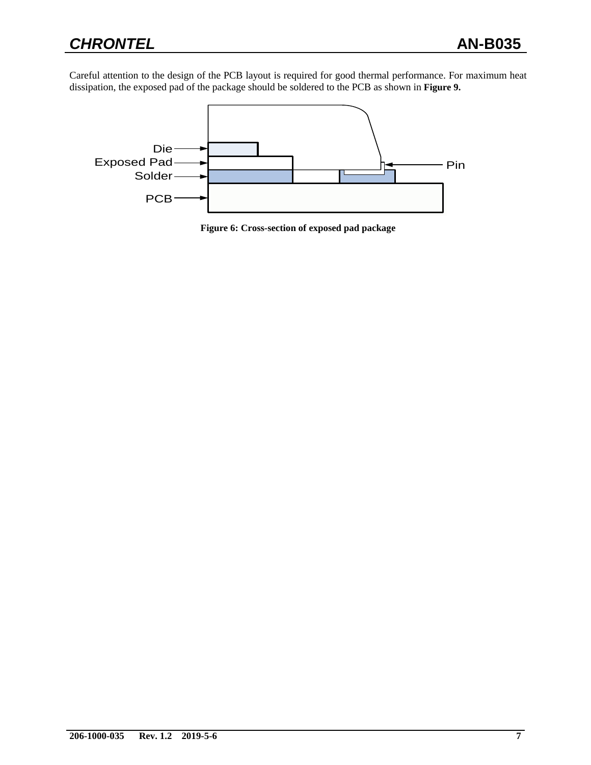Careful attention to the design of the PCB layout is required for good thermal performance. For maximum heat dissipation, the exposed pad of the package should be soldered to the PCB as shown in **Figure 9.**



**Figure 6: Cross-section of exposed pad package**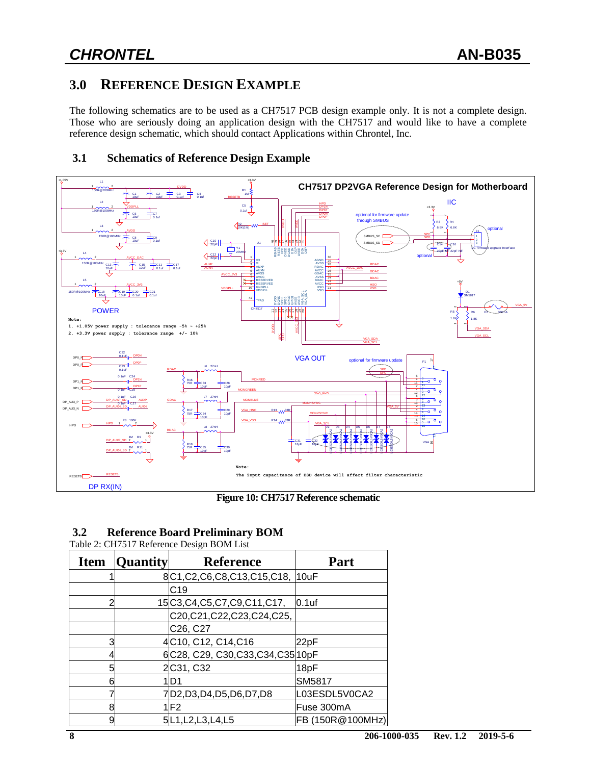### **3.0 REFERENCE DESIGN EXAMPLE**

The following schematics are to be used as a CH7517 PCB design example only. It is not a complete design. Those who are seriously doing an application design with the CH7517 and would like to have a complete reference design schematic, which should contact Applications within Chrontel, Inc.



**Figure 10: CH7517 Reference schematic**

#### **3.2 Reference Board Preliminary BOM**

Table 2: CH7517 Reference Design BOM List

| <b>Item</b> | <b>Quantity</b> | <b>Reference</b>                     | Part             |
|-------------|-----------------|--------------------------------------|------------------|
|             |                 | 8C1, C2, C6, C8, C13, C15, C18, 10uF |                  |
|             |                 | IC19                                 |                  |
| 2           |                 | 15C3,C4,C5,C7,C9,C11,C17,            | $0.1$ uf         |
|             |                 | C20,C21,C22,C23,C24,C25,             |                  |
|             |                 | C <sub>26</sub> , C <sub>27</sub>    |                  |
| 3           |                 | 4C10, C12, C14, C16                  | 22pF             |
|             |                 | 6C28, C29, C30, C33, C34, C35 10 pF  |                  |
| 5           |                 | 2C31, C32                            | 18pF             |
| 6           |                 | ID1                                  | ISM5817          |
|             |                 | 7D2,D3,D4,D5,D6,D7,D8                | L03ESDL5V0CA2    |
| 8           |                 | 1 F 2                                | Fuse 300mA       |
| 9           |                 | 5L1, L2, L3, L4, L5                  | FB (150R@100MHz) |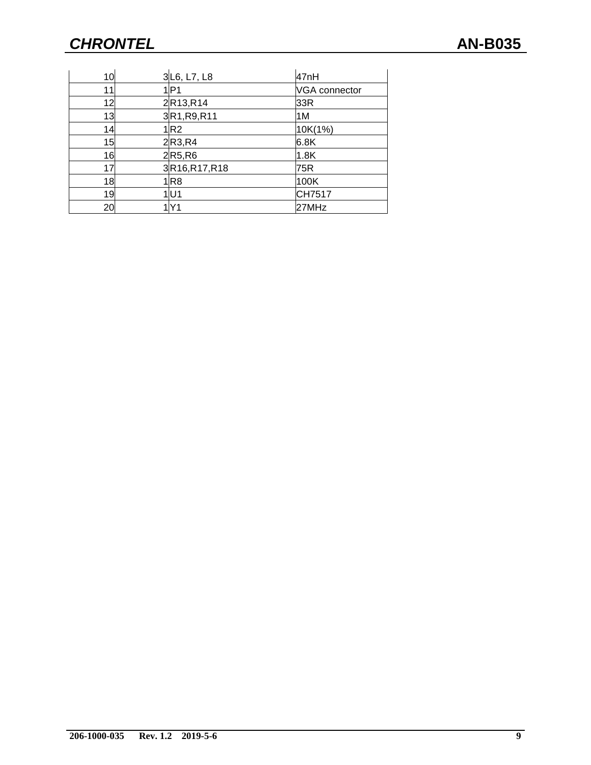| 10 | 3 L6, L7, L8                       | 47nH                 |
|----|------------------------------------|----------------------|
| 11 | ∣IP1                               | <b>VGA</b> connector |
| 12 | 2R13,R14                           | 33R                  |
| 13 | 3R1, R9, R11                       | 1M                   |
| 14 | 1 R2                               | 10K(1%)              |
| 15 | 2R3, R4                            | 6.8K                 |
| 16 | $2$ R <sub>5</sub> ,R <sub>6</sub> | 1.8K                 |
| 17 | 3R16,R17,R18                       | 75R                  |
| 18 | 1R8                                | 100K                 |
| 19 | 1 U 1                              | CH7517               |
| 20 |                                    | 27MHz                |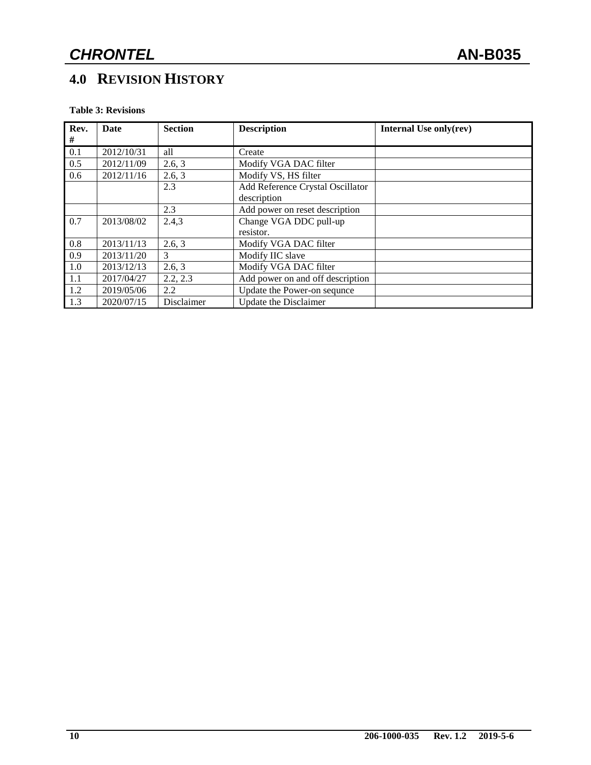### **4.0 REVISION HISTORY**

**Table 3: Revisions**

| Rev. | Date       | <b>Section</b> | <b>Description</b>               | Internal Use only(rev) |
|------|------------|----------------|----------------------------------|------------------------|
| #    |            |                |                                  |                        |
| 0.1  | 2012/10/31 | all            | Create                           |                        |
| 0.5  | 2012/11/09 | 2.6, 3         | Modify VGA DAC filter            |                        |
| 0.6  | 2012/11/16 | 2.6, 3         | Modify VS, HS filter             |                        |
|      |            | 2.3            | Add Reference Crystal Oscillator |                        |
|      |            |                | description                      |                        |
|      |            | 2.3            | Add power on reset description   |                        |
| 0.7  | 2013/08/02 | 2.4,3          | Change VGA DDC pull-up           |                        |
|      |            |                | resistor.                        |                        |
| 0.8  | 2013/11/13 | 2.6, 3         | Modify VGA DAC filter            |                        |
| 0.9  | 2013/11/20 | 3              | Modify IIC slave                 |                        |
| 1.0  | 2013/12/13 | 2.6, 3         | Modify VGA DAC filter            |                        |
| 1.1  | 2017/04/27 | 2.2, 2.3       | Add power on and off description |                        |
| 1.2  | 2019/05/06 | 2.2            | Update the Power-on sequnce      |                        |
| 1.3  | 2020/07/15 | Disclaimer     | Update the Disclaimer            |                        |